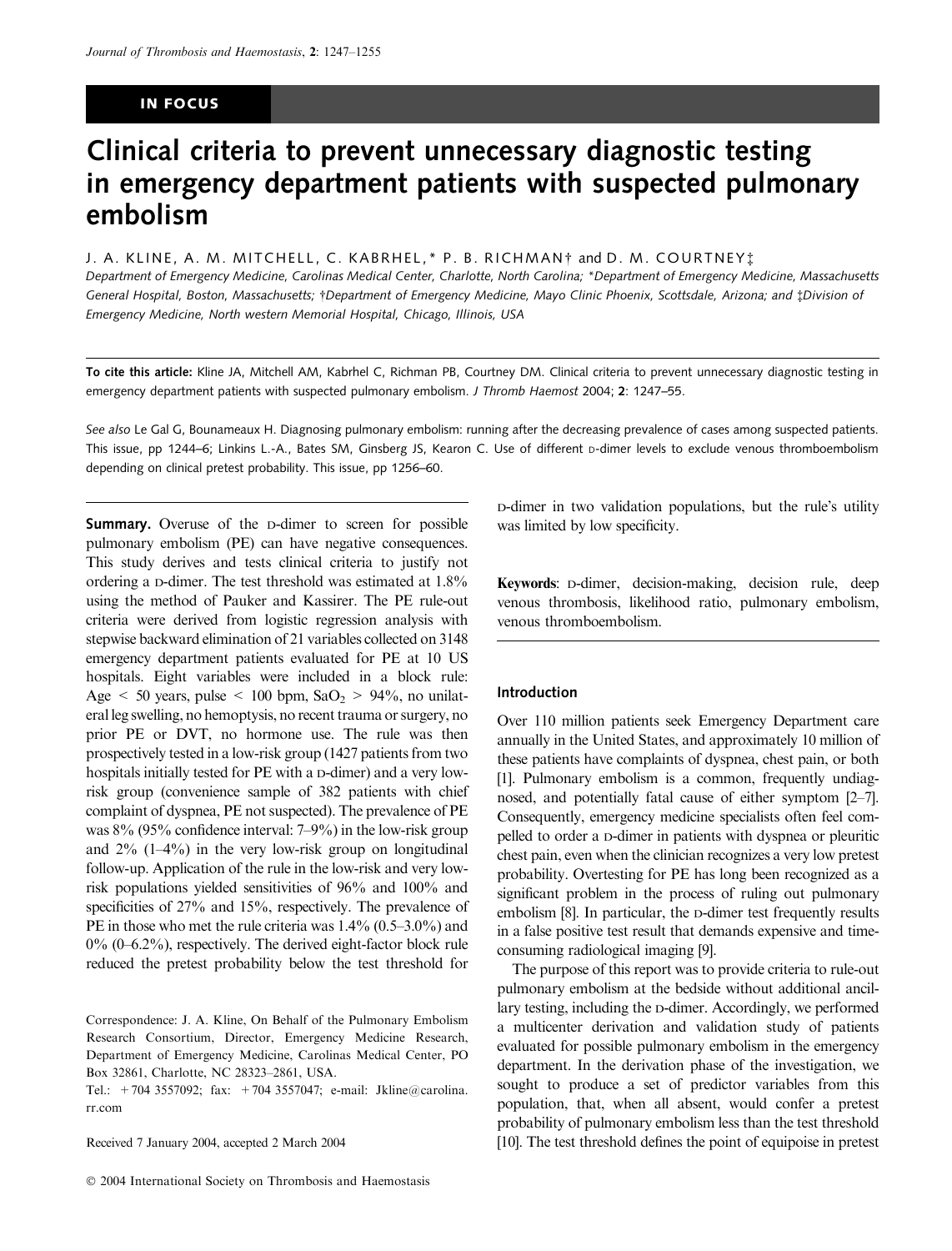# IN FOCUS

# Clinical criteria to prevent unnecessary diagnostic testing in emergency department patients with suspected pulmonary embolism

J. A. KLINE, A. M. MITCHELL, C. KABRHEL,\* P. B. RICHMAN† and D. M. COURTNEY $\ddagger$ 

Department of Emergency Medicine, Carolinas Medical Center, Charlotte, North Carolina; \*Department of Emergency Medicine, Massachusetts General Hospital, Boston, Massachusetts; †Department of Emergency Medicine, Mayo Clinic Phoenix, Scottsdale, Arizona; and ‡Division of Emergency Medicine, North western Memorial Hospital, Chicago, Illinois, USA

To cite this article: Kline JA, Mitchell AM, Kabrhel C, Richman PB, Courtney DM. Clinical criteria to prevent unnecessary diagnostic testing in emergency department patients with suspected pulmonary embolism. J Thromb Haemost 2004; 2: 1247-55.

See also Le Gal G, Bounameaux H. Diagnosing pulmonary embolism: running after the decreasing prevalence of cases among suspected patients. This issue, pp 1244–6; Linkins L.-A., Bates SM, Ginsberg JS, Kearon C. Use of different p-dimer levels to exclude venous thromboembolism depending on clinical pretest probability. This issue, pp 1256–60.

Summary. Overuse of the D-dimer to screen for possible pulmonary embolism (PE) can have negative consequences. This study derives and tests clinical criteria to justify not ordering a D-dimer. The test threshold was estimated at 1.8% using the method of Pauker and Kassirer. The PE rule-out criteria were derived from logistic regression analysis with stepwise backward elimination of 21 variables collected on 3148 emergency department patients evaluated for PE at 10 US hospitals. Eight variables were included in a block rule: Age  $\lt$  50 years, pulse  $\lt$  100 bpm, SaO<sub>2</sub>  $>$  94%, no unilateral leg swelling, no hemoptysis, no recent trauma or surgery, no prior PE or DVT, no hormone use. The rule was then prospectively tested in a low-risk group (1427 patients from two hospitals initially tested for PE with a D-dimer) and a very lowrisk group (convenience sample of 382 patients with chief complaint of dyspnea, PE not suspected). The prevalence of PE was 8% (95% confidence interval: 7–9%) in the low-risk group and 2% (1–4%) in the very low-risk group on longitudinal follow-up. Application of the rule in the low-risk and very lowrisk populations yielded sensitivities of 96% and 100% and specificities of 27% and 15%, respectively. The prevalence of PE in those who met the rule criteria was 1.4% (0.5–3.0%) and 0% (0–6.2%), respectively. The derived eight-factor block rule reduced the pretest probability below the test threshold for

Correspondence: J. A. Kline, On Behalf of the Pulmonary Embolism Research Consortium, Director, Emergency Medicine Research, Department of Emergency Medicine, Carolinas Medical Center, PO Box 32861, Charlotte, NC 28323–2861, USA.

Tel.: +704 3557092; fax: +704 3557047; e-mail: Jkline@carolina. rr.com

Received 7 January 2004, accepted 2 March 2004

D-dimer in two validation populations, but the rule's utility was limited by low specificity.

Keywords: D-dimer, decision-making, decision rule, deep venous thrombosis, likelihood ratio, pulmonary embolism, venous thromboembolism.

# Introduction

Over 110 million patients seek Emergency Department care annually in the United States, and approximately 10 million of these patients have complaints of dyspnea, chest pain, or both [1]. Pulmonary embolism is a common, frequently undiagnosed, and potentially fatal cause of either symptom [2–7]. Consequently, emergency medicine specialists often feel compelled to order a D-dimer in patients with dyspnea or pleuritic chest pain, even when the clinician recognizes a very low pretest probability. Overtesting for PE has long been recognized as a significant problem in the process of ruling out pulmonary embolism [8]. In particular, the D-dimer test frequently results in a false positive test result that demands expensive and timeconsuming radiological imaging [9].

The purpose of this report was to provide criteria to rule-out pulmonary embolism at the bedside without additional ancillary testing, including the D-dimer. Accordingly, we performed a multicenter derivation and validation study of patients evaluated for possible pulmonary embolism in the emergency department. In the derivation phase of the investigation, we sought to produce a set of predictor variables from this population, that, when all absent, would confer a pretest probability of pulmonary embolism less than the test threshold [10]. The test threshold defines the point of equipoise in pretest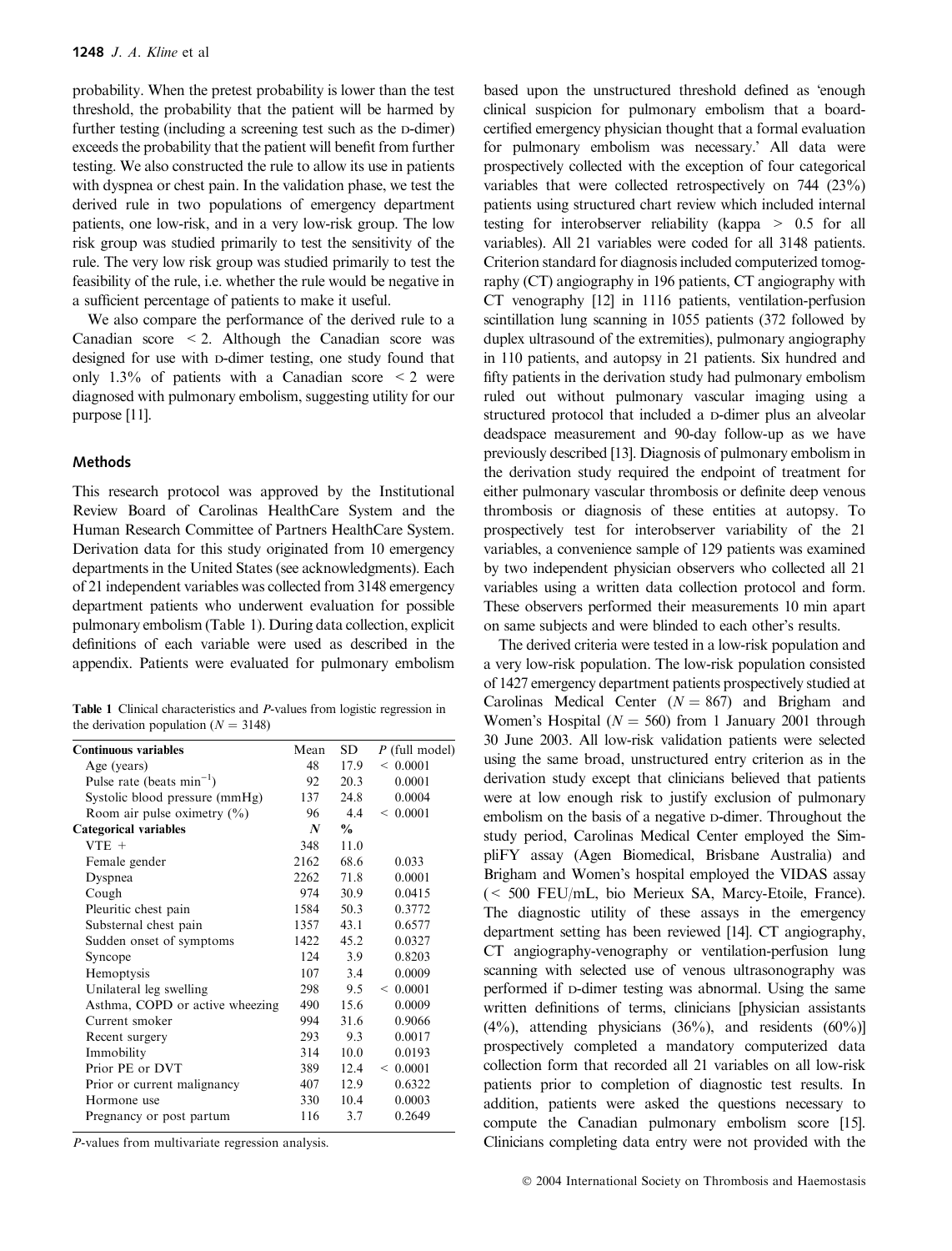probability. When the pretest probability is lower than the test threshold, the probability that the patient will be harmed by further testing (including a screening test such as the D-dimer) exceeds the probability that the patient will benefit from further testing. We also constructed the rule to allow its use in patients with dyspnea or chest pain. In the validation phase, we test the derived rule in two populations of emergency department patients, one low-risk, and in a very low-risk group. The low risk group was studied primarily to test the sensitivity of the rule. The very low risk group was studied primarily to test the feasibility of the rule, i.e. whether the rule would be negative in a sufficient percentage of patients to make it useful.

We also compare the performance of the derived rule to a Canadian score  $\leq$  2. Although the Canadian score was designed for use with D-dimer testing, one study found that only 1.3% of patients with a Canadian score  $\leq$  2 were diagnosed with pulmonary embolism, suggesting utility for our purpose [11].

## Methods

This research protocol was approved by the Institutional Review Board of Carolinas HealthCare System and the Human Research Committee of Partners HealthCare System. Derivation data for this study originated from 10 emergency departments in the United States (see acknowledgments). Each of 21 independent variables was collected from 3148 emergency department patients who underwent evaluation for possible pulmonary embolism (Table 1). During data collection, explicit definitions of each variable were used as described in the appendix. Patients were evaluated for pulmonary embolism

Table 1 Clinical characteristics and P-values from logistic regression in the derivation population ( $N = 3148$ )

| <b>Continuous variables</b>     | Mean | SD            | $P$ (full model) |
|---------------------------------|------|---------------|------------------|
| Age (years)                     | 48   | 17.9          | ${}< 0.0001$     |
| Pulse rate (beats $min^{-1}$ )  | 92   | 20.3          | 0.0001           |
| Systolic blood pressure (mmHg)  | 137  | 24.8          | 0.0004           |
| Room air pulse oximetry $(\% )$ | 96   | 4.4           | ${}< 0.0001$     |
| <b>Categorical variables</b>    | N    | $\frac{0}{0}$ |                  |
| $VTE +$                         | 348  | 11.0          |                  |
| Female gender                   | 2162 | 68.6          | 0.033            |
| Dyspnea                         | 2262 | 71.8          | 0.0001           |
| Cough                           | 974  | 30.9          | 0.0415           |
| Pleuritic chest pain            | 1584 | 50.3          | 0.3772           |
| Substernal chest pain           | 1357 | 43.1          | 0.6577           |
| Sudden onset of symptoms        | 1422 | 45.2          | 0.0327           |
| Syncope                         | 124  | 3.9           | 0.8203           |
| Hemoptysis                      | 107  | 3.4           | 0.0009           |
| Unilateral leg swelling         | 298  | 9.5           | ${}< 0.0001$     |
| Asthma, COPD or active wheezing | 490  | 15.6          | 0.0009           |
| Current smoker                  | 994  | 31.6          | 0.9066           |
| Recent surgery                  | 293  | 9.3           | 0.0017           |
| Immobility                      | 314  | 10.0          | 0.0193           |
| Prior PE or DVT                 | 389  | 12.4          | ${}< 0.0001$     |
| Prior or current malignancy     | 407  | 12.9          | 0.6322           |
| Hormone use                     | 330  | 10.4          | 0.0003           |
| Pregnancy or post partum        | 116  | 3.7           | 0.2649           |
|                                 |      |               |                  |

P-values from multivariate regression analysis.

based upon the unstructured threshold defined as 'enough clinical suspicion for pulmonary embolism that a boardcertified emergency physician thought that a formal evaluation for pulmonary embolism was necessary. All data were prospectively collected with the exception of four categorical variables that were collected retrospectively on 744 (23%) patients using structured chart review which included internal testing for interobserver reliability (kappa > 0.5 for all variables). All 21 variables were coded for all 3148 patients. Criterion standard for diagnosis included computerized tomography (CT) angiography in 196 patients, CT angiography with CT venography [12] in 1116 patients, ventilation-perfusion scintillation lung scanning in 1055 patients (372 followed by duplex ultrasound of the extremities), pulmonary angiography in 110 patients, and autopsy in 21 patients. Six hundred and fifty patients in the derivation study had pulmonary embolism ruled out without pulmonary vascular imaging using a structured protocol that included a D-dimer plus an alveolar deadspace measurement and 90-day follow-up as we have previously described [13]. Diagnosis of pulmonary embolism in the derivation study required the endpoint of treatment for either pulmonary vascular thrombosis or definite deep venous thrombosis or diagnosis of these entities at autopsy. To prospectively test for interobserver variability of the 21 variables, a convenience sample of 129 patients was examined by two independent physician observers who collected all 21 variables using a written data collection protocol and form. These observers performed their measurements 10 min apart on same subjects and were blinded to each other's results.

The derived criteria were tested in a low-risk population and a very low-risk population. The low-risk population consisted of 1427 emergency department patients prospectively studied at Carolinas Medical Center  $(N = 867)$  and Brigham and Women's Hospital ( $N = 560$ ) from 1 January 2001 through 30 June 2003. All low-risk validation patients were selected using the same broad, unstructured entry criterion as in the derivation study except that clinicians believed that patients were at low enough risk to justify exclusion of pulmonary embolism on the basis of a negative D-dimer. Throughout the study period, Carolinas Medical Center employed the SimpliFY assay (Agen Biomedical, Brisbane Australia) and Brigham and Women's hospital employed the VIDAS assay (< 500 FEU/mL, bio Merieux SA, Marcy-Etoile, France). The diagnostic utility of these assays in the emergency department setting has been reviewed [14]. CT angiography, CT angiography-venography or ventilation-perfusion lung scanning with selected use of venous ultrasonography was performed if D-dimer testing was abnormal. Using the same written definitions of terms, clinicians [physician assistants  $(4\%)$ , attending physicians  $(36\%)$ , and residents  $(60\%)$ ] prospectively completed a mandatory computerized data collection form that recorded all 21 variables on all low-risk patients prior to completion of diagnostic test results. In addition, patients were asked the questions necessary to compute the Canadian pulmonary embolism score [15]. Clinicians completing data entry were not provided with the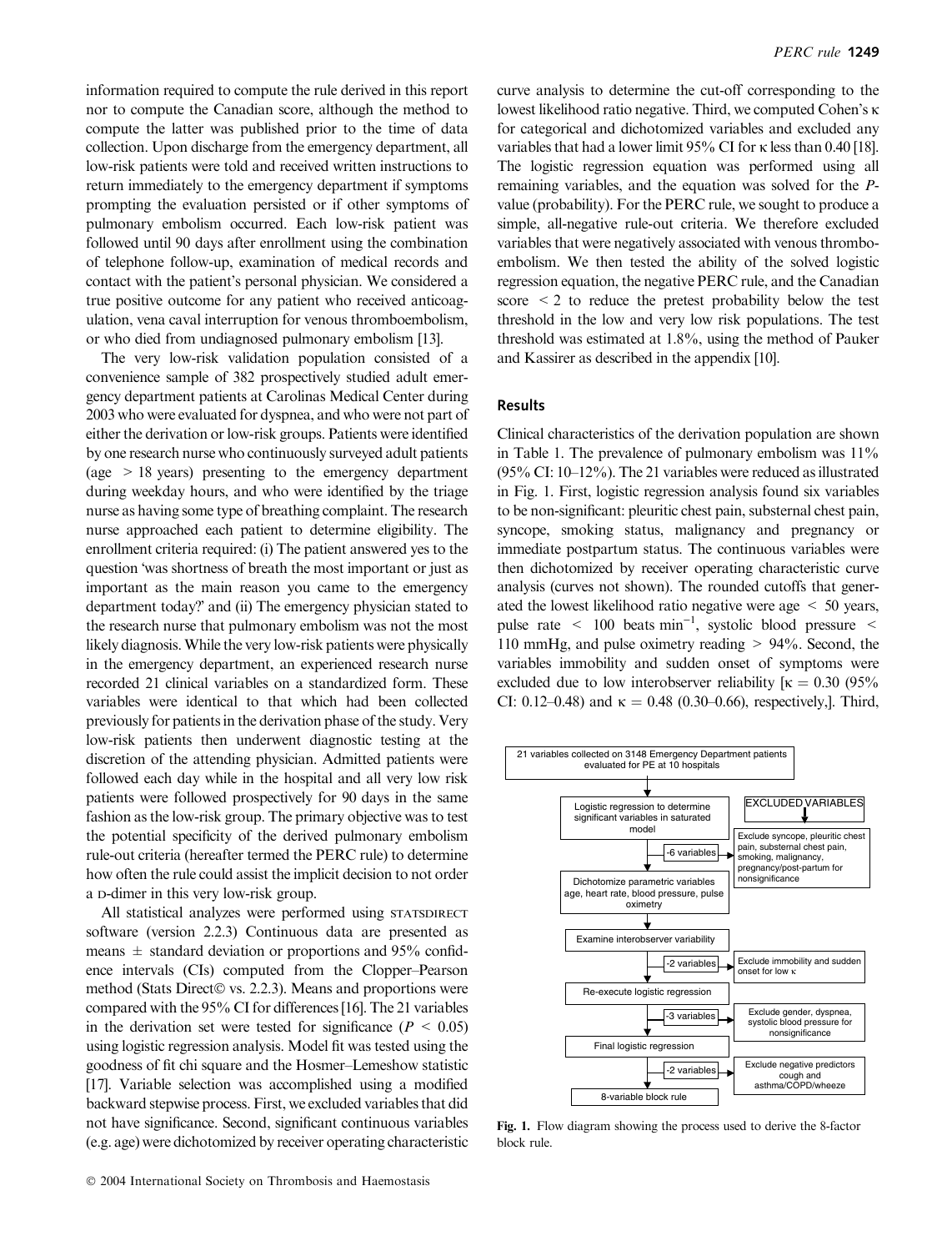information required to compute the rule derived in this report nor to compute the Canadian score, although the method to compute the latter was published prior to the time of data collection. Upon discharge from the emergency department, all low-risk patients were told and received written instructions to return immediately to the emergency department if symptoms prompting the evaluation persisted or if other symptoms of pulmonary embolism occurred. Each low-risk patient was followed until 90 days after enrollment using the combination of telephone follow-up, examination of medical records and contact with the patient's personal physician. We considered a true positive outcome for any patient who received anticoagulation, vena caval interruption for venous thromboembolism, or who died from undiagnosed pulmonary embolism [13].

The very low-risk validation population consisted of a convenience sample of 382 prospectively studied adult emergency department patients at Carolinas Medical Center during 2003 who were evaluated for dyspnea, and who were not part of either the derivation or low-risk groups. Patients were identified by one research nurse who continuously surveyed adult patients (age  $> 18$  years) presenting to the emergency department during weekday hours, and who were identified by the triage nurse as having some type of breathing complaint. The research nurse approached each patient to determine eligibility. The enrollment criteria required: (i) The patient answered yes to the question was shortness of breath the most important or just as important as the main reason you came to the emergency department today? and (ii) The emergency physician stated to the research nurse that pulmonary embolism was not the most likely diagnosis.While the very low-risk patients were physically in the emergency department, an experienced research nurse recorded 21 clinical variables on a standardized form. These variables were identical to that which had been collected previously for patients in the derivation phase of the study. Very low-risk patients then underwent diagnostic testing at the discretion of the attending physician. Admitted patients were followed each day while in the hospital and all very low risk patients were followed prospectively for 90 days in the same fashion as the low-risk group. The primary objective was to test the potential specificity of the derived pulmonary embolism rule-out criteria (hereafter termed the PERC rule) to determine how often the rule could assist the implicit decision to not order a D-dimer in this very low-risk group.

All statistical analyzes were performed using STATSDIRECT software (version 2.2.3) Continuous data are presented as means  $\pm$  standard deviation or proportions and 95% confidence intervals (CIs) computed from the Clopper–Pearson method (Stats Direct $\odot$  vs. 2.2.3). Means and proportions were compared with the 95% CI for differences [16]. The 21 variables in the derivation set were tested for significance ( $P < 0.05$ ) using logistic regression analysis. Model fit was tested using the goodness of fit chi square and the Hosmer–Lemeshow statistic [17]. Variable selection was accomplished using a modified backward stepwise process. First, we excluded variables that did not have significance. Second, significant continuous variables (e.g. age) were dichotomized by receiver operating characteristic curve analysis to determine the cut-off corresponding to the lowest likelihood ratio negative. Third, we computed Cohen's  $\kappa$ for categorical and dichotomized variables and excluded any variables that had a lower limit  $95\%$  CI for  $\kappa$  less than 0.40 [18]. The logistic regression equation was performed using all remaining variables, and the equation was solved for the Pvalue (probability). For the PERC rule, we sought to produce a simple, all-negative rule-out criteria. We therefore excluded variables that were negatively associated with venous thromboembolism. We then tested the ability of the solved logistic regression equation, the negative PERC rule, and the Canadian score  $\leq$  2 to reduce the pretest probability below the test threshold in the low and very low risk populations. The test threshold was estimated at 1.8%, using the method of Pauker and Kassirer as described in the appendix [10].

# Results

Clinical characteristics of the derivation population are shown in Table 1. The prevalence of pulmonary embolism was 11% (95% CI: 10–12%). The 21 variables were reduced as illustrated in Fig. 1. First, logistic regression analysis found six variables to be non-significant: pleuritic chest pain, substernal chest pain, syncope, smoking status, malignancy and pregnancy or immediate postpartum status. The continuous variables were then dichotomized by receiver operating characteristic curve analysis (curves not shown). The rounded cutoffs that generated the lowest likelihood ratio negative were age < 50 years, pulse rate  $\leq$  100 beats min<sup>-1</sup>, systolic blood pressure  $\leq$ 110 mmHg, and pulse oximetry reading > 94%. Second, the variables immobility and sudden onset of symptoms were excluded due to low interobserver reliability  $\kappa = 0.30$  (95% CI: 0.12–0.48) and  $\kappa = 0.48$  (0.30–0.66), respectively,]. Third,



Fig. 1. Flow diagram showing the process used to derive the 8-factor block rule.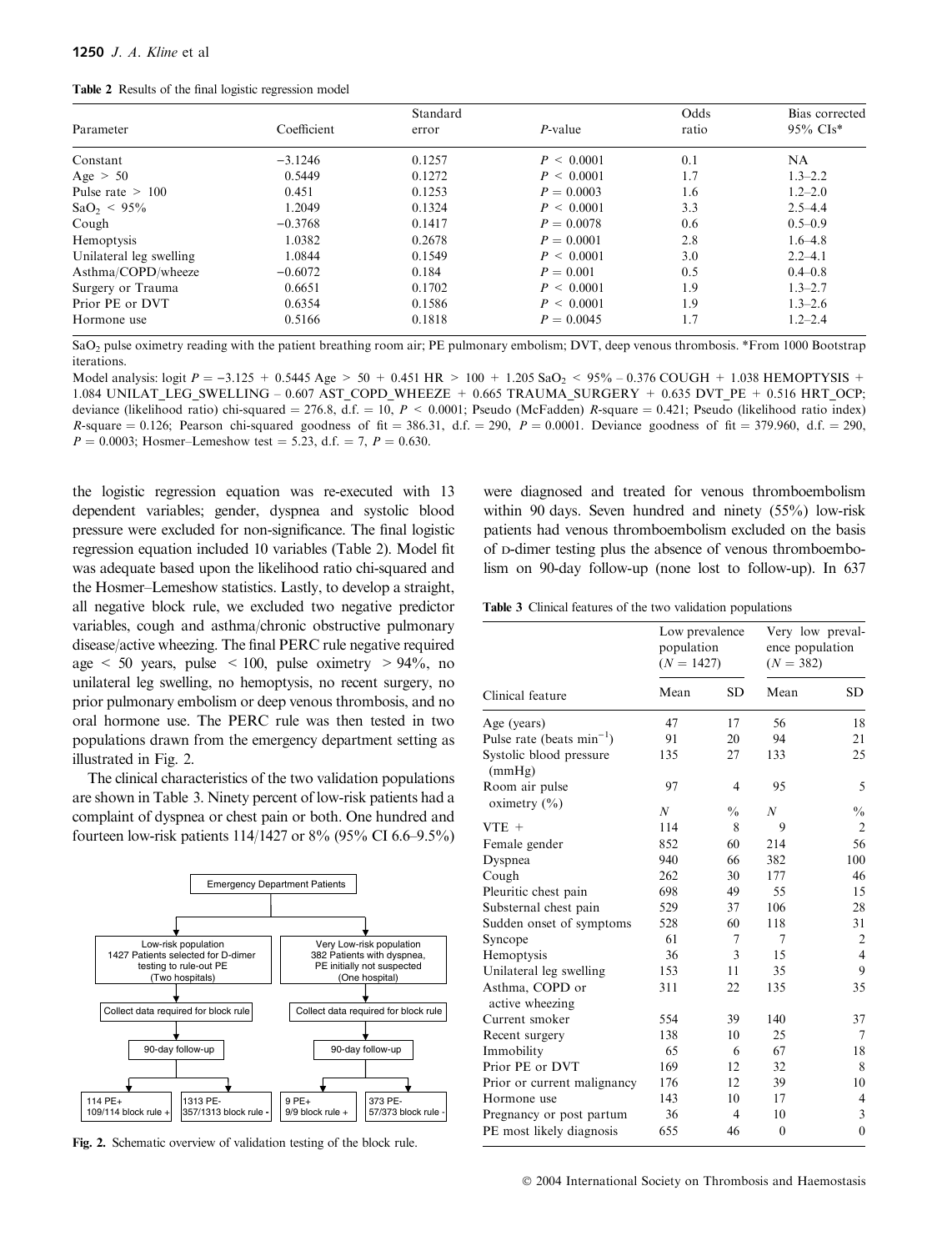Table 2 Results of the final logistic regression model

|                         |             | Standard |              | Odds  | Bias corrected          |
|-------------------------|-------------|----------|--------------|-------|-------------------------|
| Parameter               | Coefficient | error    | $P$ -value   | ratio | $95\%$ CIs <sup>*</sup> |
| Constant                | $-3.1246$   | 0.1257   | P < 0.0001   | 0.1   | NA                      |
| Age $> 50$              | 0.5449      | 0.1272   | P < 0.0001   | 1.7   | $1.3 - 2.2$             |
| Pulse rate $> 100$      | 0.451       | 0.1253   | $P = 0.0003$ | 1.6   | $1.2 - 2.0$             |
| $SaO_2 < 95\%$          | 1.2049      | 0.1324   | P < 0.0001   | 3.3   | $2.5 - 4.4$             |
| Cough                   | $-0.3768$   | 0.1417   | $P = 0.0078$ | 0.6   | $0.5 - 0.9$             |
| Hemoptysis              | 1.0382      | 0.2678   | $P = 0.0001$ | 2.8   | $1.6 - 4.8$             |
| Unilateral leg swelling | 1.0844      | 0.1549   | P < 0.0001   | 3.0   | $2.2 - 4.1$             |
| Asthma/COPD/wheeze      | $-0.6072$   | 0.184    | $P = 0.001$  | 0.5   | $0.4 - 0.8$             |
| Surgery or Trauma       | 0.6651      | 0.1702   | P < 0.0001   | 1.9   | $1.3 - 2.7$             |
| Prior PE or DVT         | 0.6354      | 0.1586   | P < 0.0001   | 1.9   | $1.3 - 2.6$             |
| Hormone use             | 0.5166      | 0.1818   | $P = 0.0045$ | 1.7   | $1.2 - 2.4$             |

SaO<sub>2</sub> pulse oximetry reading with the patient breathing room air; PE pulmonary embolism; DVT, deep venous thrombosis. \*From 1000 Bootstrap iterations.

Model analysis: logit  $P = -3.125 + 0.5445$  Age  $> 50 + 0.451$  HR  $> 100 + 1.205$  SaO<sub>2</sub>  $< 95\% - 0.376$  COUGH + 1.038 HEMOPTYSIS + 1.084 UNILAT\_LEG\_SWELLING – 0.607 AST\_COPD\_WHEEZE + 0.665 TRAUMA\_SURGERY + 0.635 DVT\_PE + 0.516 HRT\_OCP; deviance (likelihood ratio) chi-squared = 276.8, d.f. = 10, P < 0.0001; Pseudo (McFadden) R-square = 0.421; Pseudo (likelihood ratio index) R-square  $= 0.126$ ; Pearson chi-squared goodness of fit  $= 386.31$ , d.f.  $= 290$ ,  $P = 0.0001$ . Deviance goodness of fit  $= 379.960$ , d.f.  $= 290$ .  $P = 0.0003$ ; Hosmer–Lemeshow test = 5.23, d.f. = 7,  $P = 0.630$ .

the logistic regression equation was re-executed with 13 dependent variables; gender, dyspnea and systolic blood pressure were excluded for non-significance. The final logistic regression equation included 10 variables (Table 2). Model fit was adequate based upon the likelihood ratio chi-squared and the Hosmer–Lemeshow statistics. Lastly, to develop a straight, all negative block rule, we excluded two negative predictor variables, cough and asthma/chronic obstructive pulmonary disease/active wheezing. The final PERC rule negative required age  $\lt$  50 years, pulse  $\lt$  100, pulse oximetry  $> 94\%$ , no unilateral leg swelling, no hemoptysis, no recent surgery, no prior pulmonary embolism or deep venous thrombosis, and no oral hormone use. The PERC rule was then tested in two populations drawn from the emergency department setting as illustrated in Fig. 2.

The clinical characteristics of the two validation populations are shown in Table 3. Ninety percent of low-risk patients had a complaint of dyspnea or chest pain or both. One hundred and fourteen low-risk patients 114/1427 or 8% (95% CI 6.6–9.5%)



Fig. 2. Schematic overview of validation testing of the block rule.

were diagnosed and treated for venous thromboembolism within 90 days. Seven hundred and ninety (55%) low-risk patients had venous thromboembolism excluded on the basis of D-dimer testing plus the absence of venous thromboembolism on 90-day follow-up (none lost to follow-up). In 637

Table 3 Clinical features of the two validation populations

|                                    | Low prevalence<br>population<br>$(N = 1427)$ |               | Very low preval-<br>ence population<br>$(N = 382)$ |                |
|------------------------------------|----------------------------------------------|---------------|----------------------------------------------------|----------------|
| Clinical feature                   | Mean                                         | <b>SD</b>     | Mean                                               | <b>SD</b>      |
| Age (years)                        | 47                                           | 17            | 56                                                 | 18             |
| Pulse rate (beats $min^{-1}$ )     | 91                                           | 20            | 94                                                 | 21             |
| Systolic blood pressure<br>(mmHg)  | 135                                          | 27            | 133                                                | 25             |
| Room air pulse                     | 97                                           | 4             | 95                                                 | 5              |
| oximetry (%)                       | $\boldsymbol{N}$                             | $\frac{0}{0}$ | $\boldsymbol{N}$                                   | $\frac{0}{0}$  |
| $VTE +$                            | 114                                          | 8             | 9                                                  | 2              |
| Female gender                      | 852                                          | 60            | 214                                                | 56             |
| Dyspnea                            | 940                                          | 66            | 382                                                | 100            |
| Cough                              | 262                                          | 30            | 177                                                | 46             |
| Pleuritic chest pain               | 698                                          | 49            | 55                                                 | 15             |
| Substernal chest pain              | 529                                          | 37            | 106                                                | 28             |
| Sudden onset of symptoms           | 528                                          | 60            | 118                                                | 31             |
| Syncope                            | 61                                           | 7             | 7                                                  | $\overline{2}$ |
| Hemoptysis                         | 36                                           | 3             | 15                                                 | $\overline{4}$ |
| Unilateral leg swelling            | 153                                          | 11            | 35                                                 | 9              |
| Asthma, COPD or<br>active wheezing | 311                                          | 22            | 135                                                | 35             |
| Current smoker                     | 554                                          | 39            | 140                                                | 37             |
| Recent surgery                     | 138                                          | 10            | 25                                                 | 7              |
| Immobility                         | 65                                           | 6             | 67                                                 | 18             |
| Prior PE or DVT                    | 169                                          | 12            | 32                                                 | 8              |
| Prior or current malignancy        | 176                                          | 12            | 39                                                 | 10             |
| Hormone use                        | 143                                          | 10            | 17                                                 | $\overline{4}$ |
| Pregnancy or post partum           | 36                                           | 4             | 10                                                 | 3              |
| PE most likely diagnosis           | 655                                          | 46            | $\mathbf{0}$                                       | $\theta$       |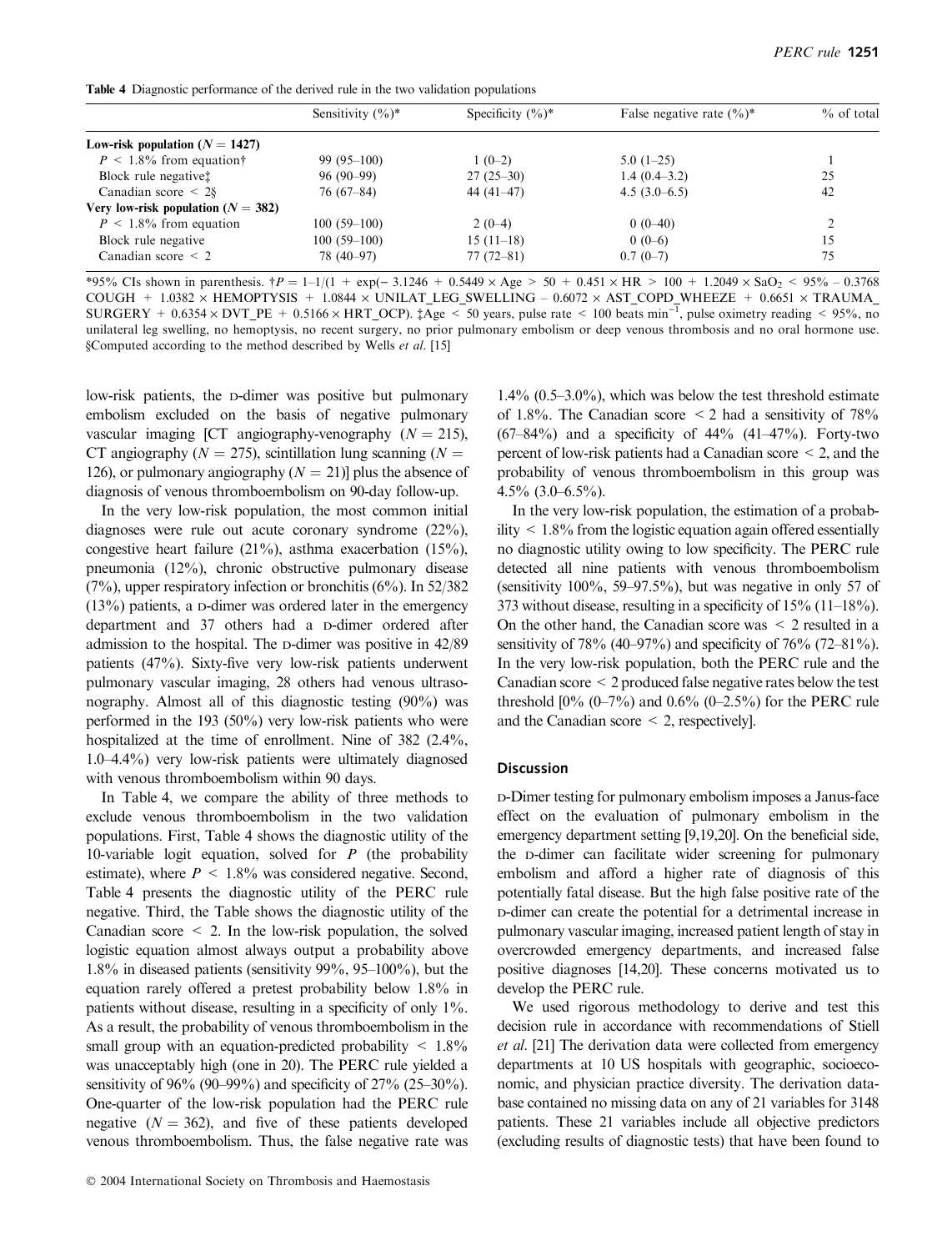Table 4 Diagnostic performance of the derived rule in the two validation populations

|                                           | Sensitivity $(\%)^*$ | Specificity $(\%)^*$ | False negative rate $(\frac{6}{6})^*$ | $\%$ of total |
|-------------------------------------------|----------------------|----------------------|---------------------------------------|---------------|
| Low-risk population ( $N = 1427$ )        |                      |                      |                                       |               |
| $P \leq 1.8\%$ from equation <sup>†</sup> | $99(95-100)$         | $1(0-2)$             | $5.0(1-25)$                           |               |
| Block rule negative:                      | 96 (90–99)           | $27(25-30)$          | $1.4(0.4-3.2)$                        | 25            |
| Canadian score $\leq 28$                  | $76(67-84)$          | $44(41-47)$          | $4.5(3.0-6.5)$                        | 42            |
| Very low-risk population ( $N = 382$ )    |                      |                      |                                       |               |
| $P \leq 1.8\%$ from equation              | $100(59-100)$        | $2(0-4)$             | $0(0-40)$                             | 2             |
| Block rule negative                       | $100(59-100)$        | $15(11-18)$          | $0(0-6)$                              | 15            |
| Canadian score $\leq$ 2                   | 78 (40–97)           | $77(72 - 81)$        | $0.7(0-7)$                            | 75            |

\*95% CIs shown in parenthesis.  $P = 1/(1 + \exp(-3.1246 + 0.5449 \times \text{Age} > 50 + 0.451 \times \text{HR} > 100 + 1.2049 \times \text{SaO} > 95\% - 0.3768$ COUGH +  $1.0382 \times$  HEMOPTYSIS +  $1.0844 \times$  UNILAT\_LEG\_SWELLING –  $0.6072 \times$  AST\_COPD\_WHEEZE + 0.6651  $\times$  TRAUMA  $SURGERN + 0.6354 \times DVT\_PE + 0.5166 \times HRT\_OCP$ ).  $\frac{4}{1}Age < 50$  years, pulse rate < 100 beats min<sup>-1</sup>, pulse osimetry reading < 95%, nounilateral leg swelling, no hemoptysis, no recent surgery, no prior pulmonary embolism or deep venous thrombosis and no oral hormone use. §Computed according to the method described by Wells *et al.* [15]

low-risk patients, the D-dimer was positive but pulmonary embolism excluded on the basis of negative pulmonary vascular imaging [CT angiography-venography  $(N = 215)$ , CT angiography ( $N = 275$ ), scintillation lung scanning ( $N =$ 126), or pulmonary angiography  $(N = 21)$ ] plus the absence of diagnosis of venous thromboembolism on 90-day follow-up.

In the very low-risk population, the most common initial diagnoses were rule out acute coronary syndrome (22%), congestive heart failure (21%), asthma exacerbation (15%), pneumonia (12%), chronic obstructive pulmonary disease  $(7\%)$ , upper respiratory infection or bronchitis  $(6\%)$ . In 52/382 (13%) patients, a D-dimer was ordered later in the emergency department and 37 others had a D-dimer ordered after admission to the hospital. The D-dimer was positive in 42/89 patients (47%). Sixty-five very low-risk patients underwent pulmonary vascular imaging, 28 others had venous ultrasonography. Almost all of this diagnostic testing (90%) was performed in the 193 (50%) very low-risk patients who were hospitalized at the time of enrollment. Nine of 382 (2.4%, 1.0–4.4%) very low-risk patients were ultimately diagnosed with venous thromboembolism within 90 days.

In Table 4, we compare the ability of three methods to exclude venous thromboembolism in the two validation populations. First, Table 4 shows the diagnostic utility of the 10-variable logit equation, solved for  $P$  (the probability estimate), where  $P \leq 1.8\%$  was considered negative. Second, Table 4 presents the diagnostic utility of the PERC rule negative. Third, the Table shows the diagnostic utility of the Canadian score < 2. In the low-risk population, the solved logistic equation almost always output a probability above 1.8% in diseased patients (sensitivity 99%, 95–100%), but the equation rarely offered a pretest probability below 1.8% in patients without disease, resulting in a specificity of only 1%. As a result, the probability of venous thromboembolism in the small group with an equation-predicted probability  $\leq 1.8\%$ was unacceptably high (one in 20). The PERC rule yielded a sensitivity of 96% (90–99%) and specificity of  $27\%$  (25–30%). One-quarter of the low-risk population had the PERC rule negative  $(N = 362)$ , and five of these patients developed venous thromboembolism. Thus, the false negative rate was

 $1.4\%$  (0.5–3.0%), which was below the test threshold estimate of 1.8%. The Canadian score  $\leq$  2 had a sensitivity of 78%  $(67–84%)$  and a specificity of  $44%$   $(41–47%)$ . Forty-two percent of low-risk patients had a Canadian score < 2, and the probability of venous thromboembolism in this group was 4.5% (3.0–6.5%).

In the very low-risk population, the estimation of a probability  $\leq 1.8\%$  from the logistic equation again offered essentially no diagnostic utility owing to low specificity. The PERC rule detected all nine patients with venous thromboembolism (sensitivity  $100\%$ , 59–97.5%), but was negative in only 57 of 373 without disease, resulting in a specificity of 15% (11–18%). On the other hand, the Canadian score was  $\leq$  2 resulted in a sensitivity of 78% (40–97%) and specificity of 76% (72–81%). In the very low-risk population, both the PERC rule and the Canadian score< 2 produced false negative rates below the test threshold  $[0\% (0-7\%)$  and  $0.6\% (0-2.5\%)$  for the PERC rule and the Canadian score < 2, respectively].

# Discussion

D-Dimer testing for pulmonary embolism imposes a Janus-face effect on the evaluation of pulmonary embolism in the emergency department setting [9,19,20]. On the beneficial side, the D-dimer can facilitate wider screening for pulmonary embolism and afford a higher rate of diagnosis of this potentially fatal disease. But the high false positive rate of the D-dimer can create the potential for a detrimental increase in pulmonary vascular imaging, increased patient length of stay in overcrowded emergency departments, and increased false positive diagnoses [14,20]. These concerns motivated us to develop the PERC rule.

We used rigorous methodology to derive and test this decision rule in accordance with recommendations of Stiell et al. [21] The derivation data were collected from emergency departments at 10 US hospitals with geographic, socioeconomic, and physician practice diversity. The derivation database contained no missing data on any of 21 variables for 3148 patients. These 21 variables include all objective predictors (excluding results of diagnostic tests) that have been found to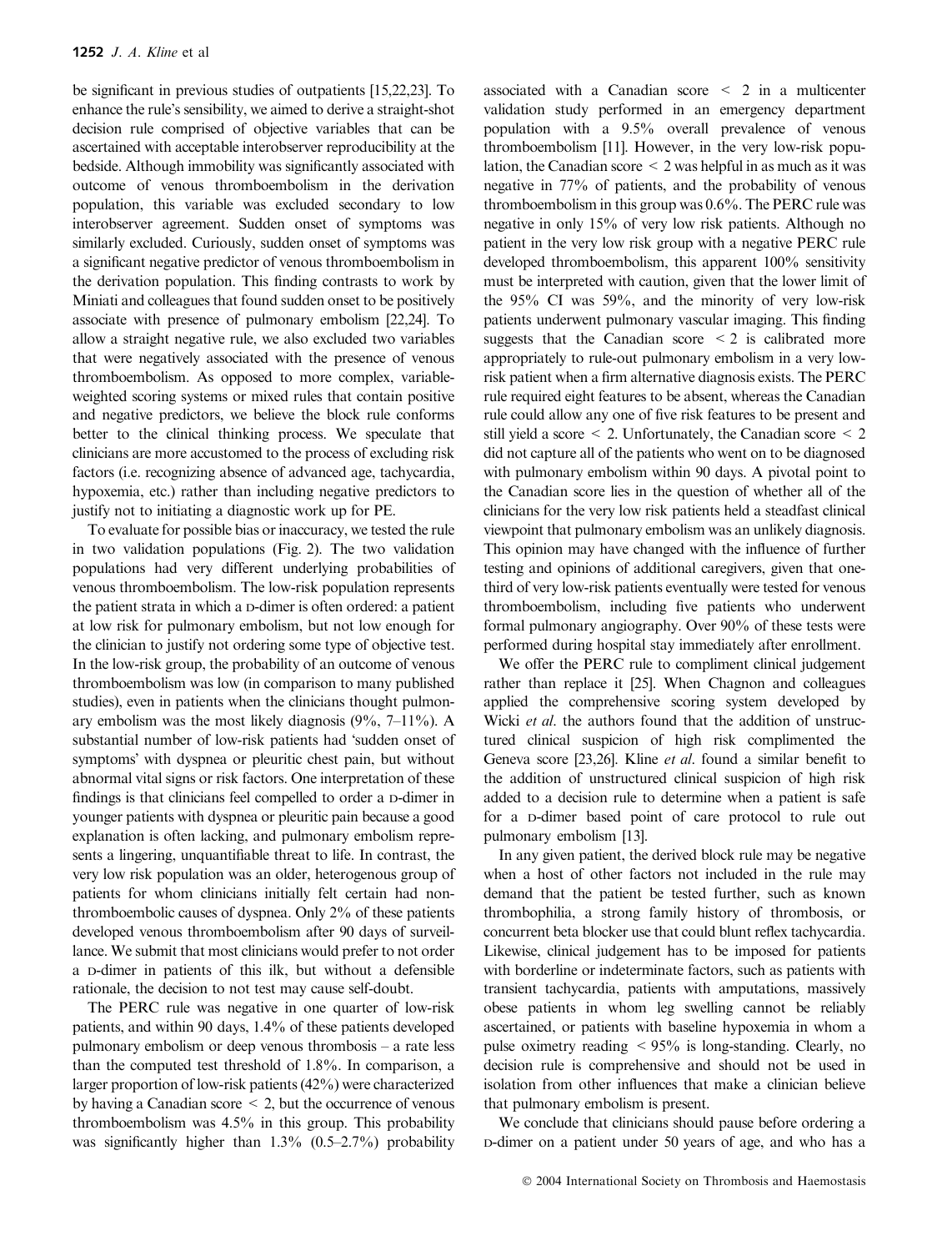be significant in previous studies of outpatients [15,22,23]. To enhance the rule's sensibility, we aimed to derive a straight-shot decision rule comprised of objective variables that can be ascertained with acceptable interobserver reproducibility at the bedside. Although immobility was significantly associated with outcome of venous thromboembolism in the derivation population, this variable was excluded secondary to low interobserver agreement. Sudden onset of symptoms was similarly excluded. Curiously, sudden onset of symptoms was a significant negative predictor of venous thromboembolism in the derivation population. This finding contrasts to work by Miniati and colleagues that found sudden onset to be positively associate with presence of pulmonary embolism [22,24]. To allow a straight negative rule, we also excluded two variables that were negatively associated with the presence of venous thromboembolism. As opposed to more complex, variableweighted scoring systems or mixed rules that contain positive and negative predictors, we believe the block rule conforms better to the clinical thinking process. We speculate that clinicians are more accustomed to the process of excluding risk factors (i.e. recognizing absence of advanced age, tachycardia, hypoxemia, etc.) rather than including negative predictors to justify not to initiating a diagnostic work up for PE.

To evaluate for possible bias or inaccuracy, we tested the rule in two validation populations (Fig. 2). The two validation populations had very different underlying probabilities of venous thromboembolism. The low-risk population represents the patient strata in which a D-dimer is often ordered: a patient at low risk for pulmonary embolism, but not low enough for the clinician to justify not ordering some type of objective test. In the low-risk group, the probability of an outcome of venous thromboembolism was low (in comparison to many published studies), even in patients when the clinicians thought pulmonary embolism was the most likely diagnosis  $(9\%, 7-11\%)$ . A substantial number of low-risk patients had 'sudden onset of symptoms' with dyspnea or pleuritic chest pain, but without abnormal vital signs or risk factors. One interpretation of these findings is that clinicians feel compelled to order a D-dimer in younger patients with dyspnea or pleuritic pain because a good explanation is often lacking, and pulmonary embolism represents a lingering, unquantifiable threat to life. In contrast, the very low risk population was an older, heterogenous group of patients for whom clinicians initially felt certain had nonthromboembolic causes of dyspnea. Only 2% of these patients developed venous thromboembolism after 90 days of surveillance. We submit that most clinicians would prefer to not order a D-dimer in patients of this ilk, but without a defensible rationale, the decision to not test may cause self-doubt.

The PERC rule was negative in one quarter of low-risk patients, and within 90 days, 1.4% of these patients developed pulmonary embolism or deep venous thrombosis – a rate less than the computed test threshold of 1.8%. In comparison, a larger proportion of low-risk patients (42%) were characterized by having a Canadian score  $\leq$  2, but the occurrence of venous thromboembolism was 4.5% in this group. This probability was significantly higher than  $1.3\%$  (0.5–2.7%) probability

associated with a Canadian score  $\leq$  2 in a multicenter validation study performed in an emergency department population with a 9.5% overall prevalence of venous thromboembolism [11]. However, in the very low-risk population, the Canadian score < 2 was helpful in as much as it was negative in 77% of patients, and the probability of venous thromboembolism in this group was 0.6%. The PERC rule was negative in only 15% of very low risk patients. Although no patient in the very low risk group with a negative PERC rule developed thromboembolism, this apparent 100% sensitivity must be interpreted with caution, given that the lower limit of the 95% CI was 59%, and the minority of very low-risk patients underwent pulmonary vascular imaging. This finding suggests that the Canadian score  $\leq 2$  is calibrated more appropriately to rule-out pulmonary embolism in a very lowrisk patient when a firm alternative diagnosis exists. The PERC rule required eight features to be absent, whereas the Canadian rule could allow any one of five risk features to be present and still yield a score < 2. Unfortunately, the Canadian score < 2 did not capture all of the patients who went on to be diagnosed with pulmonary embolism within 90 days. A pivotal point to the Canadian score lies in the question of whether all of the clinicians for the very low risk patients held a steadfast clinical viewpoint that pulmonary embolism was an unlikely diagnosis. This opinion may have changed with the influence of further testing and opinions of additional caregivers, given that onethird of very low-risk patients eventually were tested for venous thromboembolism, including five patients who underwent formal pulmonary angiography. Over 90% of these tests were performed during hospital stay immediately after enrollment.

We offer the PERC rule to compliment clinical judgement rather than replace it [25]. When Chagnon and colleagues applied the comprehensive scoring system developed by Wicki et al. the authors found that the addition of unstructured clinical suspicion of high risk complimented the Geneva score [23,26]. Kline et al. found a similar benefit to the addition of unstructured clinical suspicion of high risk added to a decision rule to determine when a patient is safe for a D-dimer based point of care protocol to rule out pulmonary embolism [13].

In any given patient, the derived block rule may be negative when a host of other factors not included in the rule may demand that the patient be tested further, such as known thrombophilia, a strong family history of thrombosis, or concurrent beta blocker use that could blunt reflex tachycardia. Likewise, clinical judgement has to be imposed for patients with borderline or indeterminate factors, such as patients with transient tachycardia, patients with amputations, massively obese patients in whom leg swelling cannot be reliably ascertained, or patients with baseline hypoxemia in whom a pulse oximetry reading < 95% is long-standing. Clearly, no decision rule is comprehensive and should not be used in isolation from other influences that make a clinician believe that pulmonary embolism is present.

We conclude that clinicians should pause before ordering a D-dimer on a patient under 50 years of age, and who has a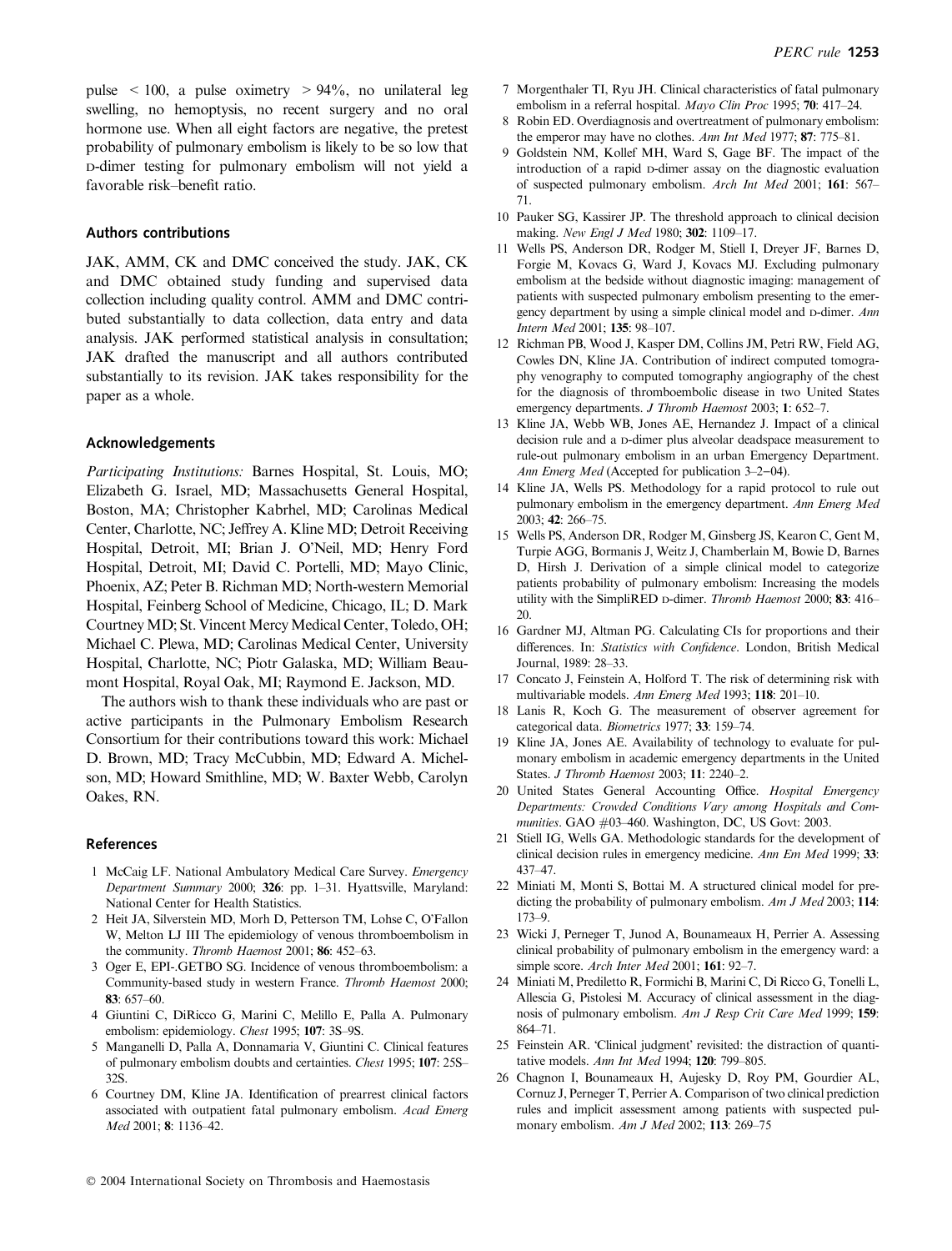pulse  $\leq 100$ , a pulse oximetry  $> 94\%$ , no unilateral leg swelling, no hemoptysis, no recent surgery and no oral hormone use. When all eight factors are negative, the pretest probability of pulmonary embolism is likely to be so low that D-dimer testing for pulmonary embolism will not yield a favorable risk–benefit ratio.

# Authors contributions

JAK, AMM, CK and DMC conceived the study. JAK, CK and DMC obtained study funding and supervised data collection including quality control. AMM and DMC contributed substantially to data collection, data entry and data analysis. JAK performed statistical analysis in consultation; JAK drafted the manuscript and all authors contributed substantially to its revision. JAK takes responsibility for the paper as a whole.

#### Acknowledgements

Participating Institutions: Barnes Hospital, St. Louis, MO; Elizabeth G. Israel, MD; Massachusetts General Hospital, Boston, MA; Christopher Kabrhel, MD; Carolinas Medical Center, Charlotte, NC; Jeffrey A. Kline MD; Detroit Receiving Hospital, Detroit, MI; Brian J. O'Neil, MD; Henry Ford Hospital, Detroit, MI; David C. Portelli, MD; Mayo Clinic, Phoenix, AZ; Peter B. Richman MD; North-western Memorial Hospital, Feinberg School of Medicine, Chicago, IL; D. Mark Courtney MD; St. Vincent Mercy Medical Center, Toledo, OH; Michael C. Plewa, MD; Carolinas Medical Center, University Hospital, Charlotte, NC; Piotr Galaska, MD; William Beaumont Hospital, Royal Oak, MI; Raymond E. Jackson, MD.

The authors wish to thank these individuals who are past or active participants in the Pulmonary Embolism Research Consortium for their contributions toward this work: Michael D. Brown, MD; Tracy McCubbin, MD; Edward A. Michelson, MD; Howard Smithline, MD; W. Baxter Webb, Carolyn Oakes, RN.

## References

- 1 McCaig LF. National Ambulatory Medical Care Survey. Emergency Department Summary 2000; 326: pp. 1–31. Hyattsville, Maryland: National Center for Health Statistics.
- 2 Heit JA, Silverstein MD, Morh D, Petterson TM, Lohse C, O'Fallon W, Melton LJ III The epidemiology of venous thromboembolism in the community. Thromb Haemost 2001; 86: 452–63.
- 3 Oger E, EPI-.GETBO SG. Incidence of venous thromboembolism: a Community-based study in western France. Thromb Haemost 2000; 83: 657–60.
- 4 Giuntini C, DiRicco G, Marini C, Melillo E, Palla A. Pulmonary embolism: epidemiology. Chest 1995; 107: 3S–9S.
- 5 Manganelli D, Palla A, Donnamaria V, Giuntini C. Clinical features of pulmonary embolism doubts and certainties. Chest 1995; 107: 25S– 32S.
- 6 Courtney DM, Kline JA. Identification of prearrest clinical factors associated with outpatient fatal pulmonary embolism. Acad Emerg Med 2001; 8: 1136–42.
- 7 Morgenthaler TI, Ryu JH. Clinical characteristics of fatal pulmonary embolism in a referral hospital. Mayo Clin Proc 1995: **70**: 417–24.
- 8 Robin ED. Overdiagnosis and overtreatment of pulmonary embolism: the emperor may have no clothes. Ann Int Med 1977; 87: 775–81.
- 9 Goldstein NM, Kollef MH, Ward S, Gage BF. The impact of the introduction of a rapid D-dimer assay on the diagnostic evaluation of suspected pulmonary embolism. Arch Int Med 2001; 161: 567– 71.
- 10 Pauker SG, Kassirer JP. The threshold approach to clinical decision making. New Engl J Med 1980; 302: 1109–17.
- 11 Wells PS, Anderson DR, Rodger M, Stiell I, Dreyer JF, Barnes D, Forgie M, Kovacs G, Ward J, Kovacs MJ. Excluding pulmonary embolism at the bedside without diagnostic imaging: management of patients with suspected pulmonary embolism presenting to the emergency department by using a simple clinical model and D-dimer. Ann Intern Med 2001; 135: 98–107.
- 12 Richman PB, Wood J, Kasper DM, Collins JM, Petri RW, Field AG, Cowles DN, Kline JA. Contribution of indirect computed tomography venography to computed tomography angiography of the chest for the diagnosis of thromboembolic disease in two United States emergency departments. J Thromb Haemost 2003; 1: 652-7.
- 13 Kline JA, Webb WB, Jones AE, Hernandez J. Impact of a clinical decision rule and a D-dimer plus alveolar deadspace measurement to rule-out pulmonary embolism in an urban Emergency Department. Ann Emerg Med (Accepted for publication  $3-2-04$ ).
- 14 Kline JA, Wells PS. Methodology for a rapid protocol to rule out pulmonary embolism in the emergency department. Ann Emerg Med 2003; 42: 266–75.
- 15 Wells PS, Anderson DR, Rodger M, Ginsberg JS, Kearon C, Gent M, Turpie AGG, Bormanis J, Weitz J, Chamberlain M, Bowie D, Barnes D, Hirsh J. Derivation of a simple clinical model to categorize patients probability of pulmonary embolism: Increasing the models utility with the SimpliRED D-dimer. Thromb Haemost 2000; 83: 416– 20.
- 16 Gardner MJ, Altman PG. Calculating CIs for proportions and their differences. In: Statistics with Confidence. London, British Medical Journal, 1989: 28–33.
- 17 Concato J, Feinstein A, Holford T. The risk of determining risk with multivariable models. Ann Emerg Med 1993; 118: 201–10.
- 18 Lanis R, Koch G. The measurement of observer agreement for categorical data. Biometrics 1977; 33: 159–74.
- 19 Kline JA, Jones AE. Availability of technology to evaluate for pulmonary embolism in academic emergency departments in the United States. J Thromb Haemost 2003; 11: 2240–2.
- 20 United States General Accounting Office. Hospital Emergency Departments: Crowded Conditions Vary among Hospitals and Communities. GAO *#*03–460. Washington, DC, US Govt: 2003.
- 21 Stiell IG, Wells GA. Methodologic standards for the development of clinical decision rules in emergency medicine. Ann Em Med 1999; 33: 437–47.
- 22 Miniati M, Monti S, Bottai M. A structured clinical model for predicting the probability of pulmonary embolism. Am J Med 2003; 114: 173–9.
- 23 Wicki J, Perneger T, Junod A, Bounameaux H, Perrier A. Assessing clinical probability of pulmonary embolism in the emergency ward: a simple score. Arch Inter Med 2001; 161: 92-7.
- 24 Miniati M, Prediletto R, Formichi B, Marini C, Di Ricco G, Tonelli L, Allescia G, Pistolesi M. Accuracy of clinical assessment in the diagnosis of pulmonary embolism. Am J Resp Crit Care Med 1999; 159: 864–71.
- 25 Feinstein AR. Clinical judgment' revisited: the distraction of quantitative models. Ann Int Med 1994; 120: 799–805.
- 26 Chagnon I, Bounameaux H, Aujesky D, Roy PM, Gourdier AL, Cornuz J, Perneger T, Perrier A. Comparison of two clinical prediction rules and implicit assessment among patients with suspected pulmonary embolism. Am J Med 2002; 113: 269-75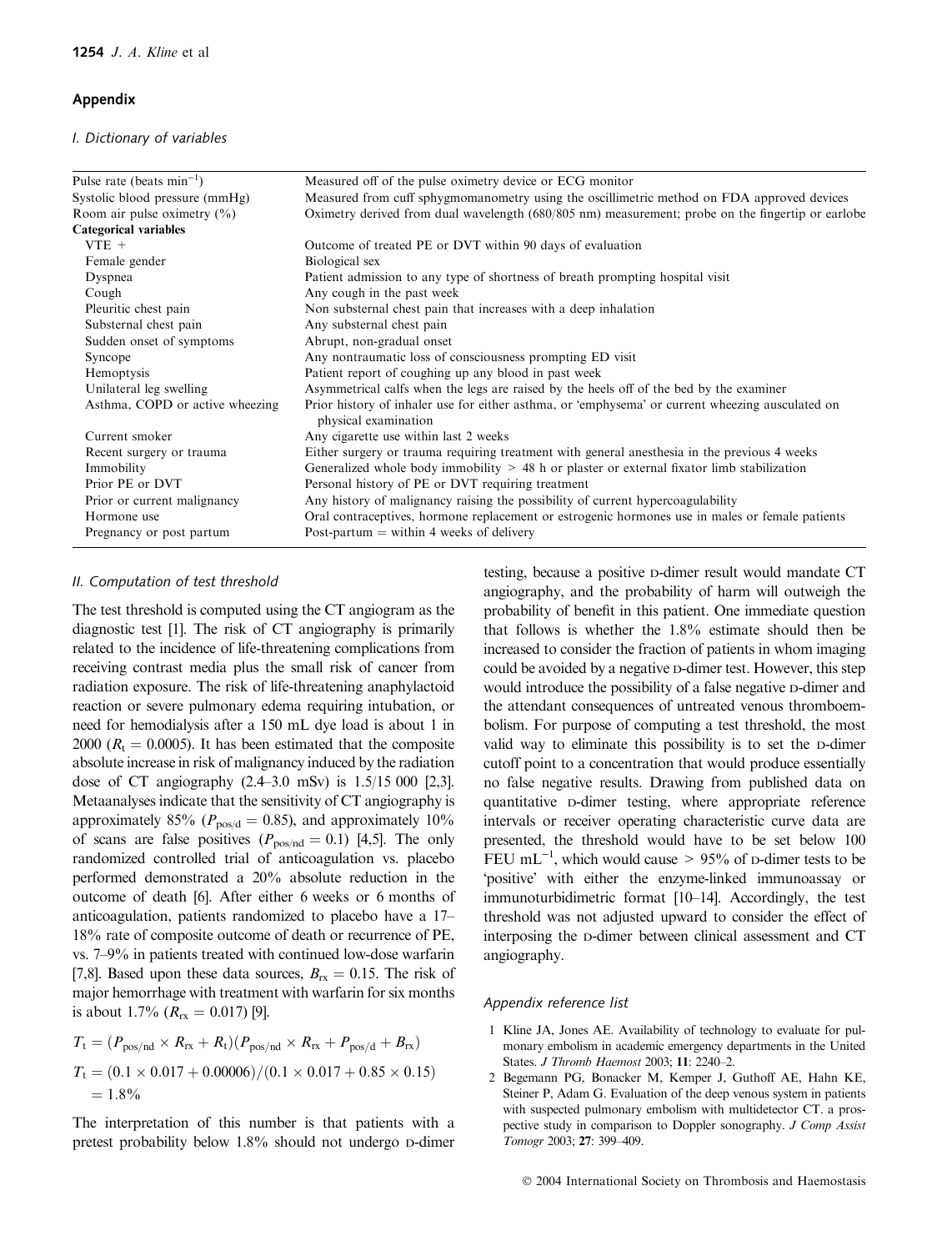## Appendix

## I. Dictionary of variables

| Pulse rate (beats $min^{-1}$ )  | Measured off of the pulse oximetry device or ECG monitor                                                                 |
|---------------------------------|--------------------------------------------------------------------------------------------------------------------------|
| Systolic blood pressure (mmHg)  | Measured from cuff sphygmomanometry using the oscillimetric method on FDA approved devices                               |
| Room air pulse oximetry $(\% )$ | Oximetry derived from dual wavelength (680/805 nm) measurement; probe on the fingertip or earlobe                        |
| Categorical variables           |                                                                                                                          |
| $VTE +$                         | Outcome of treated PE or DVT within 90 days of evaluation                                                                |
| Female gender                   | Biological sex                                                                                                           |
| Dyspnea                         | Patient admission to any type of shortness of breath prompting hospital visit                                            |
| Cough                           | Any cough in the past week                                                                                               |
| Pleuritic chest pain            | Non substernal chest pain that increases with a deep inhalation                                                          |
| Substernal chest pain           | Any substernal chest pain                                                                                                |
| Sudden onset of symptoms        | Abrupt, non-gradual onset                                                                                                |
| Syncope                         | Any nontraumatic loss of consciousness prompting ED visit                                                                |
| Hemoptysis                      | Patient report of coughing up any blood in past week                                                                     |
| Unilateral leg swelling         | Asymmetrical calfs when the legs are raised by the heels off of the bed by the examiner                                  |
| Asthma, COPD or active wheezing | Prior history of inhaler use for either asthma, or 'emphysema' or current wheezing ausculated on<br>physical examination |
| Current smoker                  | Any cigarette use within last 2 weeks                                                                                    |
| Recent surgery or trauma        | Either surgery or trauma requiring treatment with general anesthesia in the previous 4 weeks                             |
| Immobility                      | Generalized whole body immobility $> 48$ h or plaster or external fixator limb stabilization                             |
| Prior PE or DVT                 | Personal history of PE or DVT requiring treatment                                                                        |
| Prior or current malignancy     | Any history of malignancy raising the possibility of current hypercoagulability                                          |
| Hormone use                     | Oral contraceptives, hormone replacement or estrogenic hormones use in males or female patients                          |
| Pregnancy or post partum        | Post-partum $=$ within 4 weeks of delivery                                                                               |
|                                 |                                                                                                                          |

# II. Computation of test threshold

The test threshold is computed using the CT angiogram as the diagnostic test [1]. The risk of CT angiography is primarily related to the incidence of life-threatening complications from receiving contrast media plus the small risk of cancer from radiation exposure. The risk of life-threatening anaphylactoid reaction or severe pulmonary edema requiring intubation, or need for hemodialysis after a 150 mL dye load is about 1 in 2000 ( $R_t = 0.0005$ ). It has been estimated that the composite absolute increase in risk of malignancy induced by the radiation dose of CT angiography (2.4–3.0 mSv) is 1.5/15 000 [2,3]. Metaanalyses indicate that the sensitivity of CT angiography is approximately 85% ( $P_{\text{pos}/d} = 0.85$ ), and approximately 10% of scans are false positives  $(P_{\text{pos/nd}} = 0.1)$  [4,5]. The only randomized controlled trial of anticoagulation vs. placebo performed demonstrated a 20% absolute reduction in the outcome of death [6]. After either 6 weeks or 6 months of anticoagulation, patients randomized to placebo have a 17– 18% rate of composite outcome of death or recurrence of PE, vs. 7–9% in patients treated with continued low-dose warfarin [7,8]. Based upon these data sources,  $B_{rx} = 0.15$ . The risk of major hemorrhage with treatment with warfarin for six months is about 1.7%  $(R_{rx} = 0.017)$  [9].

$$
T_{\rm t} = (P_{\rm pos/nd} \times R_{\rm rx} + R_{\rm t})(P_{\rm pos/nd} \times R_{\rm rx} + P_{\rm pos/d} + B_{\rm rx})
$$
  

$$
T_{\rm t} = (0.1 \times 0.017 + 0.00006)/(0.1 \times 0.017 + 0.85 \times 0.15)
$$
  

$$
= 1.8\%
$$

The interpretation of this number is that patients with a pretest probability below 1.8% should not undergo D-dimer

testing, because a positive D-dimer result would mandate CT angiography, and the probability of harm will outweigh the probability of benefit in this patient. One immediate question that follows is whether the 1.8% estimate should then be increased to consider the fraction of patients in whom imaging could be avoided by a negative D-dimer test. However, this step would introduce the possibility of a false negative D-dimer and the attendant consequences of untreated venous thromboembolism. For purpose of computing a test threshold, the most valid way to eliminate this possibility is to set the D-dimer cutoff point to a concentration that would produce essentially no false negative results. Drawing from published data on quantitative D-dimer testing, where appropriate reference intervals or receiver operating characteristic curve data are presented, the threshold would have to be set below 100 FEU mL<sup>-1</sup>, which would cause  $> 95\%$  of p-dimer tests to be 'positive' with either the enzyme-linked immunoassay or immunoturbidimetric format [10–14]. Accordingly, the test threshold was not adjusted upward to consider the effect of interposing the D-dimer between clinical assessment and CT angiography.

#### Appendix reference list

- 1 Kline JA, Jones AE. Availability of technology to evaluate for pulmonary embolism in academic emergency departments in the United States. J Thromb Haemost 2003; 11: 2240–2.
- 2 Begemann PG, Bonacker M, Kemper J, Guthoff AE, Hahn KE, Steiner P, Adam G. Evaluation of the deep venous system in patients with suspected pulmonary embolism with multidetector CT. a prospective study in comparison to Doppler sonography. J Comp Assist Tomogr 2003; 27: 399–409.